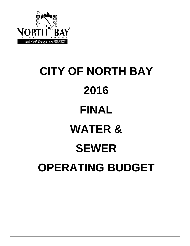

# **CITY OF NORTH BAY 2016 FINAL WATER & SEWER OPERATING BUDGET**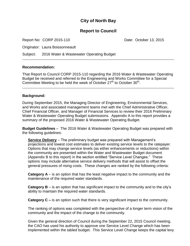#### **City of North Bay**

#### **Report to Council**

Report No: CORP 2015-110 Date: October 13, 2015

Originator: Laura Boissonneault

Subject: 2016 Water & Wastewater Operating Budget

#### **Recommendation:**

That Report to Council CORP 2015-110 regarding the 2016 Water & Wastewater Operating Budget be received and referred to the Engineering and Works Committee for a Special Committee Meeting to be held the week of October  $27<sup>th</sup>$  to October  $30<sup>th</sup>$ .

#### **Background:**

During September 2015, the Managing Director of Engineering, Environmental Services, and Works and associated management teams met with the Chief Administrative Officer, Chief Financial Officer, and Manager of Financial Services to review their 2016 Preliminary Water & Wastewater Operating Budget submissions. Appendix A to this report provides a summary of the proposed 2016 Water & Wastewater Operating Budget.

**Budget Guidelines** – The 2016 Water & Wastewater Operating Budget was prepared with the following guidelines:

**Service Delivery** – The preliminary budget was prepared with Management's projections and lowest cost estimates to deliver existing service levels to the ratepayer. Options that may change service levels (as either enhancements or reductions) within the community are presented within the Water and Wastewater Budget document (Appendix B to this report) in the section entitled "Service Level Changes." These options may include alternative service delivery methods that will assist to offset the general pressures of rising costs. These changes are ranked by the following criteria:

**Category A** – is an option that has the least negative impact to the community and the maintenance of the required water standards.

**Category B** – is an option that has significant impact to the community and to the city's ability to maintain the required water standards.

**Category C –** is an option such that there is very significant impact to the community.

The ranking of options was completed with the perspective of a longer term vision of the community and the impact of the change to the community.

Given the general direction of Council during the September 22, 2015 Council meeting, the CAO has used his authority to approve one Service Level Change which has been implemented within the tabled budget. This Service Level Change keeps the capital levy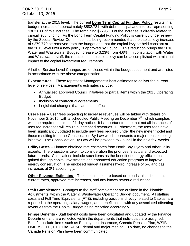transfer at the 2015 level. The current **Long Term Capital Funding Policy** results in a budget increase of approximately \$582,781, with debt principal and interest representing \$303,011 of this increase. The remaining \$279,770 of the increase is directly related to capital levy funding. As the Long Term Capital Funding Policy is currently under review by the Special Review Committee, it is being recommended that the capital levy increase of \$279,770 be removed from the budget and that the capital levy be held constant at the 2015 level until a new policy is approved by Council. This reduction brings the 2016 Water and Wastewater Budget increase to 3.23% from 4.6%. In consultation with Water and Wastewater staff, the reduction in the capital levy can be accomplished with minimal impact to the capital investment requirements.

All other Service Level Changes are enclosed within the budget document and are listed in accordance with the above categorization.

**Expenditures** – These represent Management's best estimates to deliver the current level of services. Management's estimates include:

- Annualized approved Council initiatives or partial items within the 2015 Operating Budget
- Inclusion of contractual agreements
- Legislated changes that came into effect

**User Fees** – User fees projecting to increase revenues will be tabled with details on November 2, 2015, with a scheduled Public Meeting on December  $7<sup>th</sup>$ , which complies with the required minimum 21 day notice. It is important to note that not all instances of user fee increases will result in increased revenues. Furthermore, the user fees have been significantly updated to include new fees required under the new meter model and those resulting from the Consolidation By-Law which represents a major housekeeping initiative. The Consolidation By-Law will be provided to Council in the next few weeks.

**Utility Costs** – Finance obtained rate estimates from North Bay Hydro and other utility experts. The projections take into consideration the prior year's actual and expected future trends. Calculations include such items as the benefit of energy efficiencies gained through capital investments and enhanced education programs to improve energy conservation. The enclosed budget assumes hydro increase of 5% and gas increases at 2% accordingly*.*

**Other Revenue Estimates** – These estimates are based on trends, historical data, current rates, approved rate increases, and any known revenue reductions.

**Staff Complement** - Changes to the staff complement are outlined in the 'Notable Adjustments' within the Water & Wastewater Operating Budget document. All staffing costs and Full Time Equivalents (FTE), including positions directly related to Capital, are reported in the operating salary, wages, and benefit costs, with any associated offsetting revenues from the Capital Budget being recorded accordingly.

**Fringe Benefits** - Staff benefit costs have been calculated and updated by the Finance Department and are reflected within the departments that individuals are assigned. Benefits include items such as Employment Insurance, Canada Pension Plan, WSIB, OMERS, EHT, LTD, Life, AD&D, dental and major medical. To date, no changes to the Canada Pension Plan have been communicated.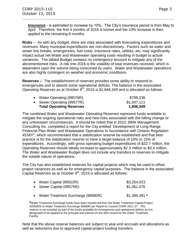**Insurance** - is estimated to increase by 10%. The City's insurance period is from May to April. Therefore, the first 4 months of 2016 is known and the 10% increase is then applied to the remaining 8 months.

**Risks** – As with any budget, there are risks associated with forecasting expenditures and revenues. Many municipal expenditures are non-discretionary. Factors such as water and sewer line breaks, emergencies, fuel costs, insurance rates, utilities, etc. may significantly impact actual net Water and Wastewater operating costs resulting in budget to actual variances. The tabled Budget contains no contingency account to mitigate any of the aforementioned risks. A risk into 2016 is the volatility of total revenues received, which is dependent upon the volume being consumed by users. Water and Wastewater operations are also highly contingent on weather and economic conditions.

**Reserves –** The establishment of reserves provides some ability to respond to emergencies and to absorb some operational deficits. The balance in the associated Operating Reserves as at October  $9<sup>th</sup>$ , 2015 is \$1,846,349 and is allocated as follows:

| <b>Total Operating Reserves</b> | 1,846,349   |
|---------------------------------|-------------|
| • Sewer Operating (99577R):     | \$1,047,111 |
| • Water Operating (99576R):     | \$799,238   |

The combined Water and Wastewater Operating Reserves represent funds available to mitigate the ongoing operational risks and new risks associated with the billing change or any unforeseen circumstances. It should be noted that in 2010, BMA Management Consulting Inc. completed a report for the City entitled 'Development of Long-Range Financial Plan Water and Wastewater Operations In Accordance with Ontario Regulation 453/07', which recommended that a stabilization reserve be established and that best practice is for the stabilization reserve to have a target balance of 10% to 15% of expenditures. Accordingly, with gross operating budget expenditures of \$22.7 million, the Operating Reserves should ideally increase to approximately \$2.3 million to \$3.4 million. The Water and Wastewater Budget does not include any transfers to reserves to mitigate the volatile nature of operations.

The City has also established reserves for capital projects which may be used to offset project variances as well as for emergency capital purposes. The balance in the associated Capital Reserves as at October  $9<sup>th</sup>$ , 2015 is allocated as follows:

| • Water Capital (99522R):<br>• Sewer Capital (99575R): | \$3,254,023<br>\$1,061,476 |
|--------------------------------------------------------|----------------------------|
| • Water Treatment Surcharge (99580R)                   | $$1,399,391$ *             |

**\***Water Treatment Surcharge funds have been transferred from the Water Treatment Capital Project #2592WS to Water Treatment Surcharge 99580R per Report to Council CORP 2011-27. This reserve is not included as part of the funds available for emergencies and operational deficits as it is designated to be applied to the principal and interest on the debt issued for the Water Treatment Facility.

Note that the above reserve balances are subject to year-end accruals and allocations as well as reductions due to approved capital project funding transfers.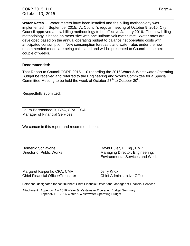**Water Rates** – Water meters have been installed and the billing methodology was implemented in September 2015. At Council's regular meeting of October 9, 2015, City Council approved a new billing methodology to be effective January 2016. The new billing methodology is based on meter size with one uniform volumetric rate. Water rates are developed based on the annual operating budget to balance net operating costs with anticipated consumption. New consumption forecasts and water rates under the new recommended model are being calculated and will be presented to Council in the next couple of weeks.

#### **Recommended:**

That Report to Council CORP 2015-110 regarding the 2016 Water & Wastewater Operating Budget be received and referred to the Engineering and Works Committee for a Special Committee Meeting to be held the week of October  $27<sup>th</sup>$  to October  $30<sup>th</sup>$ .

Respectfully submitted,

Laura Boissonneault, BBA, CPA, CGA Manager of Financial Services

\_\_\_\_\_\_\_\_\_\_\_\_\_\_\_\_\_\_\_\_\_\_\_\_\_\_\_\_

We concur in this report and recommendation.

\_\_\_\_\_\_\_\_\_\_\_\_\_\_\_\_\_\_\_\_\_\_\_\_\_\_\_\_\_ \_\_\_\_\_\_\_\_\_\_\_\_\_\_\_\_\_\_\_\_\_\_\_\_\_\_\_\_\_

Domenic Schiavone David Euler, P.Eng., PMP Director of Public Works Managing Director, Engineering, Environmental Services and Works

Margaret Karpenko CPA, CMA Jerry Knox Chief Financial Officer/Treasurer Chief Administrative Officer

\_\_\_\_\_\_\_\_\_\_\_\_\_\_\_\_\_\_\_\_\_\_\_\_\_\_\_\_\_ \_\_\_\_\_\_\_\_\_\_\_\_\_\_\_\_\_\_\_\_\_\_\_\_\_\_\_\_\_

Personnel designated for continuance: Chief Financial Officer and Manager of Financial Services

Attachment: Appendix A – 2016 Water & Wastewater Operating Budget Summary Appendix B – 2016 Water & Wastewater Operating Budget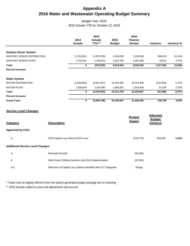#### **Appendix A 2016 Water and Wastewater Operating Budget Summary**

#### *Budget Year: 2016 2015 Actuals YTD to: October 12, 2015*

|                              | 2014<br><b>Actuals</b> | 2015<br><b>Actuals</b><br>YTD ** | 2015<br><b>Budget</b> | 2016<br><b>Finance</b><br><b>Review</b> | Variance   | Variance % |
|------------------------------|------------------------|----------------------------------|-----------------------|-----------------------------------------|------------|------------|
|                              |                        |                                  |                       |                                         |            |            |
| <b>Sanitary Sewer System</b> |                        |                                  |                       |                                         |            |            |
| SANITARY SEWER DISTRIBUTION  | (1,703,651)            | (1,972,878)                      | 6,196,039             | 7,134,058                               | 938,019    | 15.14%     |
| SANITARY SEWER PLANT         | 1,703,651              | 1,294,043                        | 1,822,795             | 1,902,468                               | 79,673     | 4.37%      |
| Total:                       | 0                      | (678, 835)                       | 8,018,834             | 9,036,526                               | 1,017,692  | 12.69%     |
| <b>Percent Increase:</b>     |                        |                                  |                       |                                         |            |            |
| <b>Water System</b>          |                        |                                  |                       |                                         |            |            |
| <b>WATER DISTRIBUTION</b>    | (1,846,834)            | (4,551,047)                      | 10,443,362            | 10,310,458                              | (132, 904) | $-1.27%$   |
| <b>WATER PLANT</b>           | 1,846,834              | 1,534,084                        | 1,868,391             | 1,919,399                               | 51,008     | 2.73%      |
| Total:                       | $\mathbf 0$            | (3,016,963)                      | 12,311,753            | 12,229,857                              | (81, 896)  | $-0.67%$   |
| <b>Percent Increase:</b>     |                        |                                  |                       |                                         |            |            |
| <b>Grand Total *</b>         | 0                      | (3,695,798)                      | 20,330,587            | 21,266,383                              | 935,796    | 4.60%      |

#### **Service Level Changes**

| Category                                 | <b>Description</b>                                               | <b>Budget</b><br><b>Impact</b> | <b>Adjusted</b><br><b>Budget</b><br><b>Variance</b> |       |
|------------------------------------------|------------------------------------------------------------------|--------------------------------|-----------------------------------------------------|-------|
| <b>Approved by CAO:</b>                  |                                                                  |                                |                                                     |       |
| Α                                        | 2016 Capital Levy Held at 2015 Level                             | (279, 770)                     | 656,026                                             | 3.23% |
| <b>Additional Service Level Changes:</b> |                                                                  |                                |                                                     |       |
| Α                                        | <b>Eliminate Fluoride</b>                                        | (50,000)                       |                                                     |       |
| Α                                        | Web Portal E-Billing Incentive July 2016 Implementation          | (32,000)                       |                                                     |       |
| $A-C$                                    | Reduction of Capital Levy Options Identified with A-C Categories | Range                          |                                                     |       |

\* Totals may be slightly different from the system generated budget package due to rounding

\*\* 2015 Actuals subject to year-end adjustments and accrual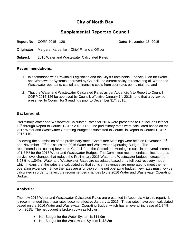#### **City of North Bay**

#### **Supplemental Report to Council**

**Report No:** CORP 2015 - 126 **Date:** November 18, 2015

**Originator:** Margaret Karpenko – Chief Financial Officer

**Subject:** 2016 Water and Wastewater Calculated Rates

#### **Recommendations:**

- 1. In accordance with Provincial Legislation and the City's Sustainable Financial Plan for Water and Wastewater Systems approved by Council, the current policy of recovering all Water and Wastewater operating, capital and financing costs from user rates be maintained; and
- 2. That the Water and Wastewater Calculated Rates as per Appendix A to Report to Council CORP 2015-126 be approved by Council, effective January  $1<sup>st</sup>$ , 2016, and that a by-law be presented to Council for 3 readings prior to December  $31<sup>st</sup>$ , 2015.

#### **Background:**

Preliminary Water and Wastewater Calculated Rates for 2016 were presented to Council on October 19<sup>th</sup> through Report to Council CORP 2015-116. The preliminary rates were calculated based on the 2016 Water and Wastewater Operating Budget as submitted to Council in Report to Council CORP 2015-110.

Following the submission of the preliminary rates, Committee Meetings were held on November  $10<sup>th</sup>$ and November 17<sup>th</sup> to discuss the 2016 Water and Wastewater Operating Budget. The recommendation coming forward to Council from the Committee Meetings results in an overall increase of 1.84% for the 2016 Water and Wastewater Budget. The Committee recommendation incorporates service level changes that reduce the Preliminary 2016 Water and Wastewater budget increase from 3.23% to 1.84%. Water and Wastewater Rates are calculated based on a full cost recovery model which means that the rates are calculated so that sufficient revenues are generated to meet the net operating expenses. Since the rates are a function of the net operating budget, new rates must now be calculated in order to reflect the recommended changes to the 2016 Water and Wastewater Operating Budget.

#### **Analysis:**

The new 2016 Water and Wastewater Calculated Rates are presented in Appendix A to this report. It is recommended that these rates become effective January 1, 2016. These rates have been calculated based on the 2016 Water and Wastewater Operating Budget which has an overall increase of 1.84% from 2015. The net budget is broken down as follows:

- Net Budget for the Water System is \$11.9m
- Net Budget for the Wastewater System is \$8.8m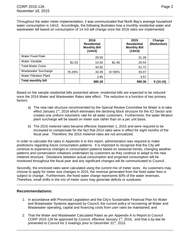Throughout the water meter implementation, it was communicated that North Bay's average household water consumption is 14m3. Accordingly, the following illustrates how a monthly residential water and wastewater bill based on consumption of 14 m3 will change once the 2016 rates are implemented:

|                               |        | 2016<br><b>Residential</b><br><b>Monthly Bill</b><br>(14m3) |        | 2015<br><b>Residential</b><br><b>Monthly Bill</b><br>(14m3) | Change<br>(Reduction) |
|-------------------------------|--------|-------------------------------------------------------------|--------|-------------------------------------------------------------|-----------------------|
| <b>Water Fixed Rate</b>       |        | 29.50                                                       |        | 31.28                                                       |                       |
| Water Variable                | \$1.03 | 14.42                                                       | \$1.46 | 20.44                                                       |                       |
| <b>Total Water Costs</b>      |        | 43.92                                                       |        | 51.72                                                       |                       |
| Wastewater Surcharge          | 76.26% | 33.49                                                       | 67.80% | 35.07                                                       |                       |
| <b>Water Filtration Plant</b> |        | 2.85                                                        |        | 3.57                                                        |                       |
| <b>Total monthly bill</b>     |        | \$80.26                                                     |        | \$90.36                                                     | \$(10.10)             |

Based on the sample residential bills presented above, residential bills are expected to be reduced once the 2016 Water and Wastewater Rates take effect. The reduction is a function of two primary factors:

- a) The new rate structure recommended by the Special Review Committee for Water is to take effect January  $1<sup>st</sup>$ , 2016 which eliminates the declining block structure for the ICI Sector and creates one uniform volumetric rate for all water customers. Furthermore, the water filtration plant surcharge will be based on meter size rather than on a per unit basis.
- b) The 2015 metered rates became effective September 1, 2015 and were required to be increased to compensate for the fact that 2014 rates were in effect for eight months of the fiscal year. Therefore, the 2015 metered rates are not annualized.

In order to calculate the rates in Appendix A to this report, administration was required to make predictions regarding future consumption patterns. It is important to recognize that the City will continue to experience changes in consumption patterns based on seasonal trends, changing weather patterns and conservation initiatives undertaken by customers as they continue to adapt to the new metered structure. Deviations between actual consumption and projected consumption will be monitored throughout the fiscal year and any significant changes will be communicated to Council.

Secondly, the enclosed rates were calculated using the current mix of meter sizes. As customers may choose to apply for meter size changes in 2015, the revenue generated from the fixed water fees is subject to change. Furthermore, the fixed water charge represents 60% of the water revenues. Therefore, small shifts in the mix of meter sizes may generate deficits or surpluses.

#### **Recommendations:**

- 1. In accordance with Provincial Legislation and the City's Sustainable Financial Plan for Water and Wastewater Systems approved by Council, the current policy of recovering all Water and Wastewater operating, capital and financing costs from user rates be maintained; and
- 2. That the Water and Wastewater Calculated Rates as per Appendix A to Report to Council CORP 2015-126 be approved by Council, effective January  $1<sup>st</sup>$ , 2016, and that a by-law be presented to Council for 3 readings prior to December 31<sup>st</sup>, 2015.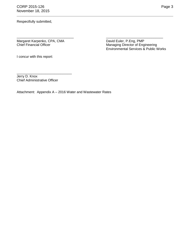CORP 2015-126 **Page 3** November 18, 2015

Respectfully submitted,

Margaret Karpenko, CPA, CMA<br>
Chief Financial Officer<br>
Chief Financial Officer<br>
David Euler, P.Eng, PMP<br>
Managing Director of Eng

Chief Financial Officer Managing Director of Engineering Environmental Services & Public Works

I concur with this report:

Jerry D. Knox Chief Administrative Officer

\_\_\_\_\_\_\_\_\_\_\_\_\_\_\_\_\_\_\_\_\_\_\_\_\_\_\_\_\_

Attachment: Appendix A – 2016 Water and Wastewater Rates

\_\_\_\_\_\_\_\_\_\_\_\_\_\_\_\_\_\_\_\_\_\_\_\_\_\_\_\_\_\_ \_\_\_\_\_\_\_\_\_\_\_\_\_\_\_\_\_\_\_\_\_\_\_\_\_\_\_\_\_\_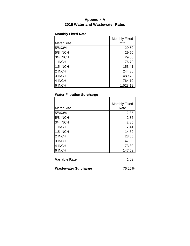#### **Appendix A 2016 Water and Wastewater Rates**

#### **Monthly Fixed Rate**

|                 | Monthly Fixed |
|-----------------|---------------|
| Meter Size      | rate          |
| 5/8X3/4         | 29.50         |
| <b>5/8 INCH</b> | 29.50         |
| 3/4 INCH        | 29.50         |
| 1 INCH          | 76.70         |
| <b>1.5 INCH</b> | 153.41        |
| 2 INCH          | 244.86        |
| 3 INCH          | 489.73        |
| 4 INCH          | 764.10        |
| 6 INCH          | 1,528.19      |

#### **Water Filtration Surcharge**

|                   | <b>Monthly Fixed</b> |
|-------------------|----------------------|
| <b>Meter Size</b> | Rate                 |
| 5/8X3/4           | 2.85                 |
| 5/8 INCH          | 2.85                 |
| <b>3/4 INCH</b>   | 2.85                 |
| 1 INCH            | 7.41                 |
| <b>1.5 INCH</b>   | 14.82                |
| 2 INCH            | 23.65                |
| 3 INCH            | 47.30                |
| 4 INCH            | 73.80                |
| 6 INCH            | 147.59               |
|                   |                      |

| Variable Rate | 1.03 |
|---------------|------|
|               |      |

| Wastewater Surcharge | 76.26% |
|----------------------|--------|
|----------------------|--------|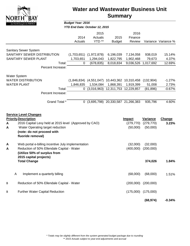

### **Water and Wastewater Business Unit Summary**

#### *Budget Year: 2016*

*YTD End Date: October 12, 2015*

|                                                                                                                                                                                                                        | 2014<br>Actuals               | 2015<br>Actuals<br>YTD **               | 2015<br><b>Budget</b>               | 2016<br>Finance<br>Review                        |                                           | Variance Variance %           |
|------------------------------------------------------------------------------------------------------------------------------------------------------------------------------------------------------------------------|-------------------------------|-----------------------------------------|-------------------------------------|--------------------------------------------------|-------------------------------------------|-------------------------------|
| <b>Sanitary Sewer System</b><br>SANITARY SEWER DISTRIBUTION<br>SANITARY SEWER PLANT<br>Total:<br>Percent Increase:                                                                                                     | (1,703,651)<br>1,703,651<br>0 | (1,972,878)<br>1,294,043<br>(678, 835)  | 6,196,039<br>1,822,795<br>8,018,834 | 7,134,058<br>1,902,468                           | 938,019<br>79,673<br>9,036,526 1,017,692  | 15.14%<br>4.37%<br>12.69%     |
| <b>Water System</b><br><b>WATER DISTRIBUTION</b><br><b>WATER PLANT</b><br>Total:<br>Percent Increase:                                                                                                                  | (1,846,834)<br>1,846,835<br>0 | (4,551,047)<br>1,534,084<br>(3,016,963) | 1,868,391<br>12,311,753             | 10,443,362 10,310,458<br>1,919,399<br>12,229,857 | (132, 904)<br>51,008<br>(81, 896)         | $-1.27%$<br>2.73%<br>$-0.67%$ |
| Grand Total *                                                                                                                                                                                                          | $\mathbf{0}$                  |                                         | $(3,695,798)$ 20,330,587 21,266,383 |                                                  | 935,796                                   | 4.60%                         |
| <b>Service Level Changes</b><br><b>Priority Description</b><br>2016 Capital Levy held at 2015 level (Approved by CAO)<br>A<br>Water Operating target reduction<br>A<br>(note: do not proceed with<br>fluoride removal) |                               |                                         |                                     | <b>Impact</b><br>(279, 770)<br>(50,000)          | <b>Variance</b><br>(279, 770)<br>(50,000) | <b>Change</b><br>3.23%        |
| Web portal e-billing incentive July implementation<br>A<br>Reduction of 50% Ellendale Capital - Water<br>A<br>(Utilize 50% of surplus from<br>2015 capital projects)                                                   |                               |                                         |                                     | (32,000)<br>(400,000)                            | (32,000)<br>(200,000)                     |                               |
| <b>Total Change</b>                                                                                                                                                                                                    |                               |                                         |                                     |                                                  | 374,026                                   | 1.84%                         |
| Implement a quarterly billing<br>Α                                                                                                                                                                                     |                               |                                         |                                     | (68,000)                                         | (68,000)                                  | 1.51%                         |
| Reduction of 50% Ellendale Capital - Water<br>В                                                                                                                                                                        |                               |                                         |                                     | (200,000)                                        | (200,000)                                 |                               |
| <b>Further Water Capital Reduction</b><br>В                                                                                                                                                                            |                               |                                         |                                     | (175,000)                                        | (175,000)                                 |                               |
|                                                                                                                                                                                                                        |                               |                                         |                                     |                                                  | (68, 974)                                 | $-0.34%$                      |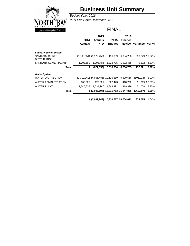

# **Business Unit Summary**

*Budget Year: 2016 YTD End Date: December 2015*

#### FINAL

|                              |                | 2015                                   |               | 2016           |                       |                |
|------------------------------|----------------|----------------------------------------|---------------|----------------|-----------------------|----------------|
|                              | 2014           | <b>Actuals</b>                         | 2015          | <b>Finance</b> |                       |                |
|                              | <b>Actuals</b> | YTD                                    | <b>Budget</b> |                | Review Variance Var % |                |
|                              |                |                                        |               |                |                       |                |
| <b>Sanitary Sewer System</b> |                |                                        |               |                |                       |                |
| SANITARY SEWER               |                | $(1,703,651)$ $(1,972,457)$            | 6,196,039     | 6,854,288      |                       | 658,249 10.62% |
| <b>DISTRIBUTION</b>          |                |                                        |               |                |                       |                |
| SANITARY SEWER PLANT         | 1,703,651      | 1.295.402                              | 1,822,795     | 1.902.468      | 79.672                | 4.37%          |
| Total:                       | 0              | (677, 055)                             | 8,018,834     | 8,756,755      | 737,921               | 9.20%          |
| <b>Water System</b>          |                |                                        |               |                |                       |                |
| <b>WATER DISTRIBUTION</b>    |                | $(2,012,360)$ $(4,666,486)$ 10,115,889 |               | 9,609,666      | (506,223)             | -5.00%         |
| <b>WATER ADMINISTRATION</b>  | 165,525        | 127.025                                | 327,473       | 418,792        |                       | 91,319 27.89%  |
| <b>WATER PLANT</b>           | 1,846,835      | 1.534.267                              | 1.868.391     | 1.919.399      | 51.008                | 2.73%          |
| Total:                       |                | 0 (3,005,194) 12,311,753 11,947,856    |               |                | (363, 897)            | $-2.96%$       |

**0 (3,682,249) 20,330,587 20,704,612 374,025** 1.84%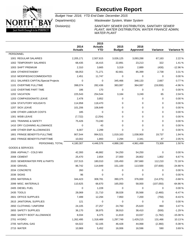

Budget Year: 2016; YTD End Date: December 2015

Department(s): Wastewater System, Water System

Division(s): SANITARY SEWER DISTRIBUTION, SANITARY SEWER PLANT, WATER DISTRIBUTION, WATER FINANCE ADMIN, WATER PLANT

|                                        | 2014           | 2015<br><b>Actuals</b> | 2015          | 2016            |           |            |
|----------------------------------------|----------------|------------------------|---------------|-----------------|-----------|------------|
|                                        | <b>Actuals</b> | <b>YTD</b>             | <b>Budget</b> | <b>Approved</b> | Variance  | Variance % |
| <b>PERSONNEL</b>                       |                |                        |               |                 |           |            |
| 1001 REGULAR SALARIES                  | 2,205,171      | 2,507,615              | 3,026,125     | 3,093,288       | 67,163    | 2.22%      |
| 1002 TEMPORARY SALARIES                | 68,435         | 16,415                 | 22,891        | 23,213          | 322       | 1.41 %     |
| 1003 SHIFT PREMIUM                     | 2,310          | 3,665                  | 3,319         | 2,889           | (430)     | $-12.96%$  |
| 1004 OTHER/STANDBY                     | 68,053         | 71,271                 | 82,661        | 85,399          | 2,738     | 3.31 %     |
| 1010 MODIFIED/ACCOMMODATED             | 2,451          | 11,747                 | 0             | 0               | 0         | 0.00%      |
| 1011 SALARIES CAPITAL/Special Projects | 0              | 0                      | 345,466       | 348,133         | 2,667     | 0.77%      |
| 1101 OVERTIME FULLTIME                 | 398,074        | 282,436                | 383,087       | 364,087         | (19,000)  | -4.96%     |
| 1102 OVERTIME PART TIME                | 186            | 170                    | 0             | 0               | 0         | 0.00%      |
| 1202 VACATION                          | 225,543        | 254,544                | 3,184         | 3,249           | 65        | 2.04 %     |
| 1203 COMPASSIONATE LEAVE               | 2,478          | 3,852                  | 0             | 0               | 0         | 0.00%      |
| <b>1204 STATUTORY HOLIDAYS</b>         | 114,958        | 118,470                | 0             | 0               | 0         | 0.00%      |
| 1207 SICK LEAVE                        | 101,206        | 106,649                | 0             | 0               | 0         | 0.00%      |
| 1299 OTHER LABOUR COSTS                | 185            | 0                      | 0             | 0               | 0         | 0.00%      |
| 1301 WSIB LEAVE                        | (7, 722)       | (2, 254)               | 0             | 0               | 0         | 0.00%      |
| 1401 TRAINING & SAFETY                 | 75,426         | 73,240                 | 0             | 0               | 0         | 0.00%      |
| 1410 DRY CLEANING ALLOWANCE            | 0              | 43                     | 0             | 0               | 0         | 0.00%      |
| 1499 OTHER EMP ALLOWANCES              | 6,007          | 2,299                  | 0             | 0               | $\Omega$  | 0.00%      |
| 1801 FRINGE BENEFITS-FULLTIME          | 907,544        | 994,521                | 1,019,163     | 1,038,900       | 19,737    | 1.94 %     |
| 1802 FRINGE BENEFITS-PARTTIME          | 10,002         | 1,893                  | 2,294         | 2,341           | 47        | 2.05 %     |
| PERSONNEL TOTAL                        | 4,180,307      | 4,446,576              | 4,888,190     | 4,961,499       | 73,309    | 1.50 %     |
| <b>GOODS &amp; SERVICES</b>            |                |                        |               |                 |           |            |
| 2006 ASPHALT - COLD MIX                | 42,393         | 46,882                 | 54,250        | 54,250          | 0         | 0.00%      |
| 2008 CEMENT                            | 25,470         | 2,654                  | 27,000        | 28,802          | 1,802     | 6.67%      |
| 2020 SEWER/WATER PIPE & PARTS          | 157,515        | 180,010                | 155,450       | 267,660         | 112,210   | 72.18%     |
| 2030 GRAVEL                            | 86,742         | 114,849                | 151,100       | 113,500         | (37,600)  | $-24.88%$  |
| 2034 CONCRETE                          | 260            | 0                      | 0             | 0               | 0         | 0.00%      |
| <b>2036 SIGNS</b>                      | 96             | 0                      | 0             | 0               | 0         | 0.00%      |
| 2055 MATERIALS                         | 344,423        | 308,781                | 390,375       | 376,000         | (14, 375) | $-3.68%$   |
| 2099 MISC. MATERIALS                   | 110,625        | 66,670                 | 165,050       | 58,000          | (107,050) | $-64.86%$  |
| 2405 DIESEL FUEL                       | $\mathbf 0$    | 1,228                  | 0             | 0               | 0         | 0.00%      |
| 2435 TOOLS                             | 28,069         | 21,710                 | 38,028        | 35,568          | (2,460)   | $-6.47%$   |
| 2601 OFFICE SUPPLIES                   | 7,499          | 12,294                 | 7,950         | 7,200           | (750)     | -9.43 %    |
| 2615 JANITORIAL SUPPLIES               | 121            | 0                      | 0             | 0               | 0         | 0.00%      |
| 2650 CLOTHING / UNIFORM                | 24,105         | 27,257                 | 24,760        | 25,620          | 860       | 3.47%      |
| 2655 SAFETY SUPPLIES                   | 36,170         | 38,975                 | 38,910        | 38,410          | (500)     | $-1.29%$   |
| 2660 SAFETY BOOT ALLOWANCE             | 8,034          | 6,375                  | 11,819        | 10,037          | (1,782)   | $-15.08%$  |
| 2701 HYDRO                             | 1,262,495      | 1,318,489              | 1,297,749     | 1,429,215       | 131,466   | 10.13 %    |
| 2705 NATURAL GAS                       | 64,022         | 52,105                 | 46,428        | 44,068          | (2,360)   | $-5.08%$   |
| 2715 WATER                             | 10,969         | 5,452                  | 16,006        | 16,596          | 590       | 3.69%      |
|                                        |                |                        |               |                 |           |            |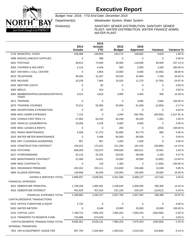

Budget Year: 2016; YTD End Date: December 2015

Department(s): Wastewater System, Water System

Division(s): SANITARY SEWER DISTRIBUTION, SANITARY SEWER PLANT, WATER DISTRIBUTION, WATER FINANCE ADMIN, WATER PLANT

|                                                     | 2014<br><b>Actuals</b> | 2015<br><b>Actuals</b><br><b>YTD</b> | 2015<br><b>Budget</b> | 2016<br><b>Approved</b> | Variance  | Variance %   |
|-----------------------------------------------------|------------------------|--------------------------------------|-----------------------|-------------------------|-----------|--------------|
| 2720 MUNICIPAL TAXES                                | 236,088                | 239,859                              | 244,173               | 248,802                 | 4,629     | 1.90 %       |
| 2999 MISCELLANEOUS SUPPLIES                         | $\mathbf 0$            | 389                                  | 0                     | 0                       | 0         | 0.00%        |
| 3001 POSTAGE                                        | 38,614                 | 74,064                               | 35,000                | 118,000                 | 83,000    | 237.14 %     |
| 3005 COURIER & DELIVERY                             | 2,114                  | 4,429                                | 500                   | 2,000                   | 1,500     | 300.00%      |
| 3007 ONTARIO 1 CALL CENTER                          | $\Omega$               | 4,854                                | 13,000                | 8,000                   | (5,000)   | $-38.46%$    |
| 3010 TELEPHONE                                      | 38,493                 | 41,297                               | 35,525                | 42,960                  | 7,435     | 20.93%       |
| 3035 MILEAGE                                        | 10,238                 | 7,664                                | 15,020                | 11,270                  | (3,750)   | -24.97 %     |
| 3055 MEETING COSTS                                  | 0                      | 65                                   | 0                     | 0                       | 0         | 0.00%        |
| 3060 MEALS                                          | 0                      | 323                                  | 0                     | 0                       | 0         | 0.00%        |
| 3065 MEMBERSHIPS/LICENSES/CERTIFICA<br><b>TIONS</b> | 4,012                  | 3,819                                | 2,990                 | 3,450                   | 460       | 15.38 %      |
| 3071 TRAINING                                       | $\mathbf 0$            | 0                                    | 0                     | 3,065                   | 3,065     | 100.00 %     |
| 3075 TRAINING COURSES                               | 70,214                 | 62,065                               | 63,000                | 61,000                  | (2,000)   | $-3.17%$     |
| 3080 ADVERTISING & PROMOTION                        | $\mathbf 0$            | 87                                   | 0                     | 0                       | 0         | 0.00%        |
| 3099 MISC ADMIN EXPENSES                            | 7,125                  | 0                                    | 3,294                 | (46, 706)               | (50,000)  | $-1,517.91%$ |
| 3102 CONSULTANT FEES I.S.                           | 27,094                 | 64,225                               | 64,248                | 65,250                  | 1,002     | 1.56 %       |
| 3205 VEHICLE LEASE/RENTAL                           | 10,058                 | 4,376                                | 9,000                 | 9,000                   | 0         | 0.00%        |
| 3299 MISC LEASES & RENTS                            | 0                      | 0                                    | 200                   | 0                       | (200)     | $-100.00%$   |
| 3301 RADIO MAINTENANCE                              | 4,556                  | 57,273                               | 92,890                | 93,770                  | 880       | 0.95%        |
| 3325 WATER METER MAINTENANCE                        | $\mathbf 0$            | 5,496                                | 60,000                | 60,000                  | 0         | 0.00%        |
| 3350 DRY CLEANING/LAUNDERING                        | 907                    | 857                                  | 1,000                 | 1,000                   | 0         | 0.00%        |
| 3425 CONSTRUCTION CONTRACT                          | 155,022                | 173,421                              | 211,200               | 181,315                 | (29, 885) | $-14.15%$    |
| 3426 PATCHING                                       | 658,055                | 723,072                              | 649,930               | 665,521                 | 15,591    | 2.40 %       |
| 3427 HYDROSEEDING                                   | 33,142                 | 25,331                               | 55,620                | 58,048                  | 2,428     | 4.37 %       |
| 3430 MAINTENANCE CONTRACT                           | 21,008                 | 14,551                               | 23,000                | 20,000                  | (3,000)   | $-13.04%$    |
| 3499 MISC CONTRACTS                                 | 0                      | 143                                  | 1,300                 | 0                       | (1,300)   | -100.00%     |
| 3601 INSURANCE PREMIUMS                             | 202,331                | 233,111                              | 215,830               | 228,466                 | 12,636    | 5.85%        |
| 3969 SLUDGE DISPOSAL                                | 140,858                | 94.059                               | 120,000               | 150,000                 | 30,000    | 25.00 %      |
| <b>GOODS &amp; SERVICES TOTAL</b>                   | 3,868,937              | 4,038,561                            | 4,341,595             | 4,489,137               | 147,542   | 3.40 %       |
| FINANCIAL EXPENSES                                  |                        |                                      |                       |                         |           |              |
| 4015 DEBENTURE PRINCIPAL                            | 1,736,335              | 1,983,301                            | 2,106,635             | 2,406,935               | 300,300   | 14.25 %      |
| 4020 DEBENTURE INTEREST                             | 453,529                | 457,016                              | 531,159               | 520,347                 | (10, 812) | $-2.04%$     |
| FINANCIAL EXPENSES TOTAL                            | 2,189,864              | 2,440,317                            | 2,637,794             | 2,927,282               | 289,488   | 10.97 %      |
| CAPITAL/RESERVE TRANSACTIONS                        |                        |                                      |                       |                         |           |              |
| 5015 OFFICE FURNITURE & EQUIP                       | 2,732                  | 0                                    | 0                     | 0                       | 0         | 0.00%        |
| 5020 WATER METERS                                   | 0                      | 9,349                                | 10,000                | 20,000                  | 10,000    | 100.00%      |
| 5101 CAPITAL LEVY                                   | 7,768,723              | 7,855,253                            | 7,855,253             | 7,655,253               | (200,000) | $-2.55%$     |
| 5115 TRANSFER TO RESERVE FUND                       | 734,996                | 674,529                              | 0                     | 0                       | 0         | 0.00%        |
| CAPITAL/RESERVE TRANSACTIONS TOTAL                  | 8,506,451              | 8,539,131                            | 7,865,253             | 7,675,253               | (190,000) | $-2.42%$     |
| <b>INTERNAL TRANSFERS</b>                           |                        |                                      |                       |                         |           |              |
| 7001 VEH & EQUIPMENT USAGE FEE                      | 957,793                | 1,026,804                            | 1,059,010             | 1,015,204               | (43,806)  | $-4.14%$     |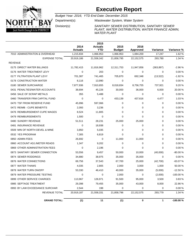

Budget Year: 2016; YTD End Date: December 2015

Department(s): Wastewater System, Water System

Division(s): SANITARY SEWER DISTRIBUTION, SANITARY SEWER PLANT, WATER DISTRIBUTION, WATER FINANCE ADMIN, WATER PLANT

|                                | 2014<br><b>Actuals</b> | 2015<br><b>Actuals</b><br><b>YTD</b> | 2015<br><b>Budget</b> | 2016<br>Approved | <b>Variance</b> | Variance % |
|--------------------------------|------------------------|--------------------------------------|-----------------------|------------------|-----------------|------------|
| 7010 ADMINISTRATON & OVERHEAD  | 1,215,834              | 1,066,953                            | 1,066,953             | 1,084,200        | 17,247          | 1.62%      |
| <b>EXPENSE TOTAL</b>           | 20,919,186             | 21,558,342                           | 21,858,795            | 22,152,575       | 293,780         | 1.34 %     |
| <b>REVENUE</b>                 |                        |                                      |                       |                  |                 |            |
| 0175 DIRECT WATER BILLINGS     | 11,782,415             | 11,816,962                           | 12,311,753            | 11,947,856       | (363, 897)      | $-2.96%$   |
| 0176 WATER TREATMENT LEVY      | $\Omega$               | 203                                  | 0                     | $\Omega$         | $\mathbf 0$     | 0.00%      |
| 0177 FILTRATION PLANT LEVY     | 701,387                | 741,465                              | 705,870               | 692,348          | (13, 522)       | $-1.92%$   |
| 0178 CONSTRUCTION WATER        | 8,116                  | 13,990                               | $\Omega$              | $\Omega$         | $\mathbf 0$     | 0.00%      |
| 0180 SEWER SURCHARGE           | 7,877,936              | 7,910,655                            | 8,018,834             | 8,756,755        | 737,921         | 9.20%      |
| 0431 PENALTIES/WATER ACCOUNTS  | 38,694                 | 45,226                               | 30,000                | 36,000           | 6,000           | 20.00%     |
| 0456 SALE OF SCRAP METALS      | 355                    | 5,488                                | 0                     | 0                | $\mathbf 0$     | 0.00%      |
| 0460 TRANSFER FRM CAPITAL FUND | $\Omega$               | 0                                    | 433,139               | 437,616          | 4,477           | 1.03%      |
| 0470 TSF FROM RESERVE FUND     | 45,996                 | 597,066                              | $\mathbf 0$           | $\Omega$         | $\mathbf 0$     | 0.00%      |
| 0472 REIMB - CUPE BENEFITS     | 2,093                  | 3,236                                | $\Omega$              | $\Omega$         | $\Omega$        | 0.00%      |
| 0476 REIMBURSEMENT-CUPE WAGES  | 8,524                  | 11,805                               | $\Omega$              | $\Omega$         | $\Omega$        | 0.00%      |
| 0479 REIMBURSEMENTS            | 1,500                  | 0                                    | $\Omega$              | $\Omega$         | $\Omega$        | 0.00%      |
| 0480 SUNDRY REVENUE            | 51,511                 | 28,231                               | 25,000                | 25,000           | $\Omega$        | 0.00%      |
| 0481 INSURANCE REVENUE         | $\Omega$               | 18,938                               | 0                     | 0                | $\Omega$        | 0.00%      |
| 0509 MIN OF NORTH DEVEL & MINE | 3,850                  | 5,035                                | $\Omega$              | $\Omega$         | $\Omega$        | 0.00%      |
| 0532 YES PROGRAM               | 7,305                  | 6,819                                | $\Omega$              | $\Omega$         | $\Omega$        | 0.00%      |
| 0850 ADMIN FEES                | 26,692                 | $\mathbf 0$                          | 11,000                | 11,000           | $\mathbf 0$     | 0.00%      |
| 0860 ACCOUNT ADJ./METER READS  | 1,347                  | 9,202                                | $\Omega$              | $\Omega$         | $\Omega$        | 0.00%      |
| 0869 OTHER ADMINISTRATION FEES | $\Omega$               | 2,196                                | $\Omega$              | $\Omega$         | $\Omega$        | 0.00%      |
| 0873 SANITARY SEWER CONNECTION | 53,556                 | 9,457                                | 50,000                | 10,000           | (40,000)        | -80.00%    |
| 0874 SEWER RODDINGS            | 34,880                 | 38,975                               | 35,000                | 35,000           | $\mathbf 0$     | 0.00%      |
| 0876 WATER CONNECTIONS         | 69,756                 | 37,543                               | 67,700                | 25,000           | (42,700)        | $-63.07%$  |
| 0877 WATER THAWS               | 4,035                  | 2,805                                | 2,000                 | 3,000            | 1,000           | 50.00 %    |
| 0878 WATER TURN ON/OFF         | 53,330                 | 46,410                               | 40,000                | 35,000           | (5,000)         | $-12.50%$  |
| 0879 WATER PRESSURE TESTING    | 0                      | 0                                    | 2,000                 | 0                | (2,000)         | -100.00%   |
| 0899 OTHER SERVICE CHARGES     | 113,967                | 126,971                              | 91,500                | 95,000           | 3,500           | 3.83%      |
| 0985 SEPTAGE TREATMENT         | 29,398                 | 79,455                               | 35,000                | 43,000           | 8,000           | 22.86%     |
| 0993 BY LAW EXCEEDANCE SURCHAR | 2,544                  | 198                                  | 0                     | 0                | $\Omega$        | 0.00%      |
| REVENUE TOTAL                  | 20,919,187             | 21,558,331                           | 21,858,796            | 22,152,575       | 293,779         | 1.34 %     |
| <b>GRAND TOTAL:</b>            | (1)                    | 11                                   | (1)                   | 0                | $\mathbf{1}$    | $-100.00%$ |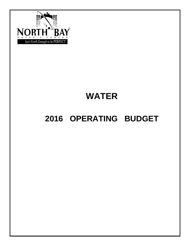

# **WATER**

# **2016 OPERATING BUDGET**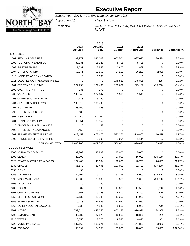

Budget Year: 2016; YTD End Date: December 2015

Department(s): Water System

Division(s): WATER DISTRIBUTION, WATER FINANCE ADMIN, WATER

PLANT

|                                        | 2014<br><b>Actuals</b> | 2015<br><b>Actuals</b><br><b>YTD</b> | 2015<br><b>Budget</b> | 2016<br><b>Approved</b> | Variance  | Variance % |
|----------------------------------------|------------------------|--------------------------------------|-----------------------|-------------------------|-----------|------------|
| <b>PERSONNEL</b>                       |                        |                                      |                       |                         |           |            |
| 1001 REGULAR SALARIES                  | 1,392,971              | 1,536,203                            | 1,600,501             | 1,637,075               | 36,574    | 2.29 %     |
| 1002 TEMPORARY SALARIES                | 39,231                 | 16,328                               | 8,705                 | 8,705                   | 0         | 0.00%      |
| 1003 SHIFT PREMIUM                     | 1,531                  | 2,848                                | 2,805                 | 2,889                   | 84        | 2.99%      |
| 1004 OTHER/STANDBY                     | 63,741                 | 63,553                               | 54,281                | 56,289                  | 2,008     | 3.70%      |
| 1010 MODIFIED/ACCOMMODATED             | $\mathbf 0$            | 10,360                               | 0                     | 0                       | 0         | 0.00%      |
| 1011 SALARIES CAPITAL/Special Projects | 0                      | 0                                    | 148,831               | 148,806                 | (25)      | $-0.02%$   |
| 1101 OVERTIME FULLTIME                 | 272,738                | 207,485                              | 238,689               | 223,189                 | (15,500)  | $-6.49%$   |
| 1102 OVERTIME PART TIME                | 135                    | 170                                  | 0                     | 0                       | 0         | 0.00%      |
| 1202 VACATION                          | 195,646                | 237,647                              | 1,519                 | 1,546                   | 27        | 1.78%      |
| 1203 COMPASSIONATE LEAVE               | 2,478                  | 3,169                                | 0                     | 0                       | 0         | 0.00%      |
| <b>1204 STATUTORY HOLIDAYS</b>         | 105,012                | 106,796                              | 0                     | 0                       | 0         | 0.00%      |
| 1207 SICK LEAVE                        | 98,160                 | 101,363                              | 0                     | 0                       | 0         | 0.00%      |
| 1299 OTHER LABOUR COSTS                | 185                    | 0                                    | 0                     | 0                       | 0         | 0.00%      |
| 1301 WSIB LEAVE                        | (7, 722)               | (2,254)                              | 0                     | 0                       | 0         | 0.00%      |
| 1401 TRAINING & SAFETY                 | 63,351                 | 63,552                               | 0                     | 0                       | 0         | 0.00%      |
| 1410 DRY CLEANING ALLOWANCE            | 0                      | 43                                   | $\Omega$              | 0                       | 0         | 0.00%      |
| 1499 OTHER EMP ALLOWANCES              | 5,450                  | 1,110                                | 0                     | 0                       | 0         | 0.00%      |
| 1801 FRINGE BENEFITS-FULLTIME          | 623,459                | 672,470                              | 530,376               | 540,805                 | 10,429    | 1.97%      |
| 1802 FRINGE BENEFITS-PARTTIME          | 9,840                  | 1,893                                | 1,094                 | 1,114                   | 20        | 1.83%      |
| PERSONNEL TOTAL                        | 2,866,206              | 3,022,736                            | 2,586,801             | 2,620,418               | 33,617    | 1.30 %     |
| <b>GOODS &amp; SERVICES</b>            |                        |                                      |                       |                         |           |            |
| 2006 ASPHALT - COLD MIX                | 32,303                 | 37,893                               | 45,000                | 45,000                  | 0         | 0.00%      |
| 2008 CEMENT                            | 20,000                 | 0                                    | 27,000                | 16,001                  | (10, 999) | $-40.74%$  |
| 2020 SEWER/WATER PIPE & PARTS          | 122,406                | 145,304                              | 122,620               | 148,700                 | 26,080    | 21.27 %    |
| 2030 GRAVEL                            | 65,543                 | 89,496                               | 120,000               | 82,400                  | (37,600)  | $-31.33%$  |
| <b>2036 SIGNS</b>                      | 96                     | 0                                    | 0                     | 0                       | 0         | 0.00%      |
| 2055 MATERIALS                         | 122,102                | 119,274                              | 160,375               | 146,000                 | (14, 375) | $-8.96%$   |
| 2099 MISC. MATERIALS                   | 42,905                 | 28,689                               | 97,380                | 31,000                  | (66, 380) | $-68.17%$  |
| 2405 DIESEL FUEL                       | 0                      | 1,743                                | 0                     | 0                       | 0         | 0.00%      |
| 2435 TOOLS                             | 10,887                 | 15,899                               | 17,838                | 17,538                  | (300)     | $-1.68%$   |
| 2601 OFFICE SUPPLIES                   | 4,661                  | 9,253                                | 5,400                 | 5,200                   | (200)     | $-3.70%$   |
| 2650 CLOTHING / UNIFORM                | 17,132                 | 21,148                               | 17,200                | 17,900                  | 700       | 4.07%      |
| 2655 SAFETY SUPPLIES                   | 19,773                 | 24,496                               | 17,950                | 17,950                  | 0         | 0.00%      |
| 2660 SAFETY BOOT ALLOWANCE             | 5,538                  | 4,542                                | 5,830                 | 5,060                   | (770)     | $-13.21%$  |
| 2701 HYDRO                             | 769,614                | 843,055                              | 802,123               | 876,991                 | 74,868    | 9.33 %     |
| 2705 NATURAL GAS                       | 30,637                 | 27,978                               | 13,565                | 13,836                  | 271       | 2.00 %     |
| 2715 WATER                             | 6,550                  | 3,570                                | 9,525                 | 9,876                   | 351       | 3.69%      |
| 2720 MUNICIPAL TAXES                   | 137,169                | 138,671                              | 141,722               | 144,802                 | 3,080     | 2.17%      |
| 3001 POSTAGE                           | 38,599                 | 74,058                               | 35,000                | 118,000                 | 83,000    | 237.14 %   |
|                                        |                        |                                      |                       |                         |           |            |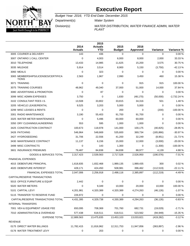

Budget Year: 2016; YTD End Date: December 2015

Department(s): Water System

Division(s): WATER DISTRIBUTION, WATER FINANCE ADMIN, WATER

PLANT

|                                                     | 2014<br><b>Actuals</b> | 2015<br><b>Actuals</b><br><b>YTD</b> | 2015<br><b>Budget</b> | 2016<br>Approved | Variance   | Variance %   |
|-----------------------------------------------------|------------------------|--------------------------------------|-----------------------|------------------|------------|--------------|
| 3005 COURIER & DELIVERY                             | 143                    | 436                                  | $\Omega$              | $\Omega$         | 0          | 0.00%        |
| 3007 ONTARIO 1 CALL CENTER                          | $\mathbf 0$            | 4,003                                | 6,000                 | 8,000            | 2,000      | 33.33 %      |
| 3010 TELEPHONE                                      | 13,433                 | 14,985                               | 11,625                | 15,200           | 3,575      | 30.75 %      |
| 3035 MILEAGE                                        | 5,914                  | 3,514                                | 8,900                 | 5,150            | (3,750)    | $-42.13%$    |
| 3060 MEALS                                          | 0                      | 323                                  | 0                     | 0                | 0          | 0.00%        |
| 3065 MEMBERSHIPS/LICENSES/CERTIFICA<br><b>TIONS</b> | 2,563                  | 1,967                                | 2,990                 | 3,450            | 460        | 15.38 %      |
| 3071 TRAINING                                       | 0                      | 0                                    | 0                     | 915              | 915        | 100.00%      |
| 3075 TRAINING COURSES                               | 48,962                 | 49,340                               | 37,000                | 51,000           | 14,000     | 37.84 %      |
| 3080 ADVERTISING & PROMOTION                        | 0                      | 87                                   | 0                     | 0                | 0          | 0.00%        |
| 3099 MISC ADMIN EXPENSES                            | 3,750                  | 0                                    | 1,830                 | (48, 170)        | (50,000)   | $-2,732.24%$ |
| 3102 CONSULTANT FEES I.S.                           | 13,508                 | 33,802                               | 33,815                | 34,316           | 501        | 1.48 %       |
| 3205 VEHICLE LEASE/RENTAL                           | 9,525                  | 3,203                                | 5,000                 | 5,000            | 0          | 0.00%        |
| 3299 MISC LEASES & RENTS                            | 0                      | 0                                    | 200                   | 0                | (200)      | $-100.00%$   |
| 3301 RADIO MAINTENANCE                              | 3,190                  | 55,403                               | 91,700                | 91,700           | 0          | 0.00%        |
| 3325 WATER METER MAINTENANCE                        | 0                      | 5,496                                | 60,000                | 60,000           | 0          | 0.00%        |
| 3350 DRY CLEANING/LAUNDERING                        | 553                    | 595                                  | 1,000                 | 1,000            | 0          | 0.00%        |
| 3425 CONSTRUCTION CONTRACT                          | 100,673                | 118,978                              | 141,000               | 100,175          | (40, 825)  | $-28.95%$    |
| 3426 PATCHING                                       | 546,964                | 548,669                              | 535,600               | 369,734          | (165, 866) | $-30.97%$    |
| 3427 HYDROSEEDING                                   | 31,706                 | 22,556                               | 41,200                | 32,249           | (8,951)    | $-21.73%$    |
| 3430 MAINTENANCE CONTRACT                           | 11,137                 | 6,156                                | 15,000                | 12,000           | (3,000)    | $-20.00%$    |
| 3499 MISC CONTRACTS                                 | 0                      | 143                                  | 1,300                 | 0                | (1,300)    | $-100.00%$   |
| 3601 INSURANCE PREMIUMS                             | 79,487                 | 84,838                               | 84,838                | 88,977           | 4,139      | 4.88%        |
| <b>GOODS &amp; SERVICES TOTAL</b>                   | 2,317,423              | 2,539,563                            | 2,717,526             | 2,526,950        | (190, 576) | $-7.01%$     |
| <b>FINANCIAL EXPENSES</b>                           |                        |                                      |                       |                  |            |              |
| 4015 DEBENTURE PRINCIPAL                            | 1,618,835              | 1,832,468                            | 1,989,135             | 1,989,435        | 300        | 0.02%        |
| 4020 DEBENTURE INTEREST                             | 428,171                | 424,450                              | 508,981               | 396,462          | (112, 519) | $-22.11%$    |
| FINANCIAL EXPENSES TOTAL                            | 2,047,006              | 2,256,918                            | 2,498,116             | 2,385,897        | (112, 219) | $-4.49%$     |
| CAPITAL/RESERVE TRANSACTIONS                        |                        |                                      |                       |                  |            |              |
| 5015 OFFICE FURNITURE & EQUIP                       | 2,442                  | 0                                    | 0                     | 0                | 0          | 0.00%        |
| 5020 WATER METERS                                   | 0                      | 9,349                                | 10,000                | 20,000           | 10,000     | 100.00%      |
| 5101 CAPITAL LEVY                                   | 4,201,981              | 4,320,389                            | 4,320,389             | 4,274,263        | (46, 126)  | $-1.07%$     |
| 5115 TRANSFER TO RESERVE FUND                       | 226,972                | 0                                    | 0                     | 0                | 0          | 0.00%        |
| CAPITAL/RESERVE TRANSACTIONS TOTAL                  | 4,431,395              | 4,329,738                            | 4,330,389             | 4,294,263        | (36, 126)  | $-0.83%$     |
| <b>INTERNAL TRANSFERS</b>                           |                        |                                      |                       |                  |            |              |
| 7001 VEH & EQUIPMENT USAGE FEE                      | 650,095                | 708,369                              | 701,760               | 682,731          | (19,029)   | $-2.71%$     |
| 7010 ADMINISTRATON & OVERHEAD                       | 577,438                | 618,511                              | 618,511               | 523,562          | (94, 949)  | $-15.35%$    |
| <b>EXPENSE TOTAL</b>                                | 12,889,563             | 13,475,835                           | 13,453,103            | 13,033,821       | (419, 282) | $-3.12%$     |
| <b>REVENUE</b>                                      |                        |                                      |                       |                  |            |              |
| 0175 DIRECT WATER BILLINGS                          | 11,782,415             | 11,816,962                           | 12,311,753            | 11,947,856       | (363, 897) | $-2.96%$     |
| 0176 WATER TREATMENT LEVY                           | 0                      | 203                                  | 0                     | 0                | 0          | 0.00%        |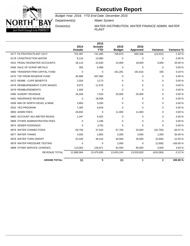

Budget Year: 2016; YTD End Date: December 2015

Department(s): Water System

Division(s): WATER DISTRIBUTION, WATER FINANCE ADMIN, WATER PLANT

|                                | 2014<br><b>Actuals</b> | 2015<br><b>Actuals</b><br><b>YTD</b> | 2015<br><b>Budget</b> | 2016<br>Approved | Variance     | Variance % |
|--------------------------------|------------------------|--------------------------------------|-----------------------|------------------|--------------|------------|
| 0177 FILTRATION PLANT LEVY     | 701,387                | 741,465                              | 705,870               | 692,348          | (13, 522)    | $-1.92%$   |
| 0178 CONSTRUCTION WATER        | 8,116                  | 13,990                               | 0                     | 0                | 0            | 0.00%      |
| 0431 PENALTIES/WATER ACCOUNTS  | 26,110                 | 22,630                               | 15,000                | 18,000           | 3,000        | 20.00%     |
| 0456 SALE OF SCRAP METALS      | 355                    | 5,488                                | $\Omega$              | $\Omega$         | $\Omega$     | 0.00%      |
| 0460 TRANSFER FRM CAPITAL FUND | $\Omega$               | 0                                    | 181,281               | 181,616          | 335          | 0.18%      |
| 0470 TSF FROM RESERVE FUND     | 45,996                 | 597,066                              | 0                     | 0                | 0            | 0.00%      |
| 0472 REIMB - CUPE BENEFITS     | 2,026                  | 3,173                                | $\Omega$              | $\Omega$         | $\Omega$     | 0.00%      |
| 0476 REIMBURSEMENT-CUPE WAGES  | 8,075                  | 11,576                               | 0                     | $\Omega$         | $\Omega$     | 0.00%      |
| 0479 REIMBURSEMENTS            | 1,500                  | 0                                    | $\Omega$              | $\Omega$         | $\Omega$     | 0.00%      |
| 0480 SUNDRY REVENUE            | 34,206                 | 7,533                                | 25,000                | 25,000           | 0            | 0.00%      |
| 0481 INSURANCE REVENUE         | 0                      | 18,938                               | 0                     | 0                | $\Omega$     | 0.00%      |
| 0509 MIN OF NORTH DEVEL & MINE | 3,850                  | 5,035                                | $\Omega$              | $\Omega$         | $\Omega$     | 0.00%      |
| 0532 YES PROGRAM               | 7,305                  | 6,819                                | $\Omega$              | $\Omega$         | $\Omega$     | 0.00%      |
| 0850 ADMIN FEES                | 26,692                 | 0                                    | 11,000                | 11,000           | $\Omega$     | 0.00%      |
| 0860 ACCOUNT ADJ./METER READS  | 1,347                  | 9,202                                | 0                     | 0                | 0            | 0.00%      |
| 0869 OTHER ADMINISTRATION FEES | $\Omega$               | 2,196                                | $\Omega$              | $\Omega$         | $\Omega$     | 0.00%      |
| 0874 SEWER RODDINGS            | $\Omega$               | (175)                                | $\Omega$              | $\Omega$         | $\Omega$     | 0.00%      |
| 0876 WATER CONNECTIONS         | 69,756                 | 37,543                               | 67,700                | 25,000           | (42,700)     | $-63.07%$  |
| 0877 WATER THAWS               | 4,035                  | 2,805                                | 2,000                 | 3,000            | 1,000        | 50.00%     |
| 0878 WATER TURN ON/OFF         | 53,330                 | 46,410                               | 40,000                | 35,000           | (5,000)      | $-12.50%$  |
| 0879 WATER PRESSURE TESTING    | $\Omega$               | 0                                    | 2,000                 | 0                | (2,000)      | $-100.00%$ |
| 0899 OTHER SERVICE CHARGES     | 113,063                | 126,971                              | 91,500                | 95,000           | 3,500        | 3.83%      |
| <b>REVENUE TOTAL</b>           | 12,889,564             | 13,475,830                           | 13,453,104            | 13,033,820       | (419, 284)   | $-3.12%$   |
| <b>GRAND TOTAL:</b>            | (1)                    | 5                                    | (1)                   | 1                | $\mathbf{2}$ | 200.00%    |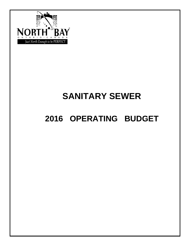

# **SANITARY SEWER**

# **2016 OPERATING BUDGET**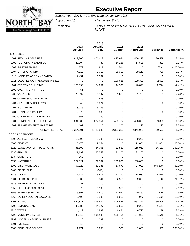

Budget Year: 2016; YTD End Date: December 2015

Department(s): Wastewater System

Division(s): SANITARY SEWER DISTRIBUTION, SANITARY SEWER

PLANT

|                                        | 2014<br><b>Actuals</b> | 2015<br><b>Actuals</b><br><b>YTD</b> | 2015<br><b>Budget</b> | 2016<br><b>Approved</b> | Variance    | Variance % |
|----------------------------------------|------------------------|--------------------------------------|-----------------------|-------------------------|-------------|------------|
| <b>PERSONNEL</b>                       |                        |                                      |                       |                         |             |            |
| 1001 REGULAR SALARIES                  | 812,200                | 971,412                              | 1,425,624             | 1,456,213               | 30,589      | 2.15 %     |
| 1002 TEMPORARY SALARIES                | 29,204                 | 87                                   | 14,186                | 14,508                  | 322         | 2.27 %     |
| 1003 SHIFT PREMIUM                     | 779                    | 817                                  | 514                   | 0                       | (514)       | $-100.00%$ |
| 1004 OTHER/STANDBY                     | 4,312                  | 7,718                                | 28,380                | 29,110                  | 730         | 2.57 %     |
| 1010 MODIFIED/ACCOMMODATED             | 2,451                  | 1,387                                | $\mathbf 0$           | 0                       | $\mathbf 0$ | 0.00%      |
| 1011 SALARIES CAPITAL/Special Projects | 0                      | 0                                    | 196,635               | 199,327                 | 2,692       | 1.37 %     |
| 1101 OVERTIME FULLTIME                 | 125,336                | 74,951                               | 144,398               | 140,898                 | (3,500)     | $-2.42%$   |
| 1102 OVERTIME PART TIME                | 51                     | 0                                    | $\mathbf 0$           | 0                       | $\mathbf 0$ | 0.00%      |
| 1202 VACATION                          | 29,897                 | 16,897                               | 1,665                 | 1,703                   | 38          | 2.28 %     |
| 1203 COMPASSIONATE LEAVE               | $\mathbf 0$            | 683                                  | 0                     | 0                       | 0           | 0.00%      |
| <b>1204 STATUTORY HOLIDAYS</b>         | 9,946                  | 11,674                               | 0                     | 0                       | 0           | 0.00%      |
| 1207 SICK LEAVE                        | 3,046                  | 5,286                                | 0                     | 0                       | 0           | 0.00%      |
| 1401 TRAINING & SAFETY                 | 12,075                 | 9,688                                | 0                     | $\Omega$                | 0           | 0.00%      |
| 1499 OTHER EMP ALLOWANCES              | 557                    | 1,189                                | 0                     | 0                       | 0           | 0.00%      |
| 1801 FRINGE BENEFITS-FULLTIME          | 284,085                | 322,051                              | 488,787               | 498,095                 | 9,308       | 1.90 %     |
| 1802 FRINGE BENEFITS-PARTTIME          | 162                    | 0                                    | 1,200                 | 1,227                   | 27          | 2.25 %     |
| PERSONNEL TOTAL                        | 1,314,101              | 1,423,840                            | 2,301,389             | 2,341,081               | 39,692      | 1.72%      |
| <b>GOODS &amp; SERVICES</b>            |                        |                                      |                       |                         |             |            |
| 2006 ASPHALT - COLD MIX                | 10,090                 | 8,989                                | 9,250                 | 9,250                   | 0           | 0.00%      |
| 2008 CEMENT                            | 5,470                  | 2,654                                | $\mathbf 0$           | 12,801                  | 12,801      | 100.00%    |
| 2020 SEWER/WATER PIPE & PARTS          | 35,109                 | 34,706                               | 32,830                | 118,960                 | 86,130      | 262.35 %   |
| 2030 GRAVEL                            | 21,199                 | 25,353                               | 31,100                | 31,100                  | 0           | 0.00%      |
| 2034 CONCRETE                          | 260                    | 0                                    | $\mathbf 0$           | 0                       | 0           | 0.00%      |
| 2055 MATERIALS                         | 222,321                | 189,507                              | 230,000               | 230,000                 | $\mathbf 0$ | 0.00%      |
| 2099 MISC. MATERIALS                   | 67,720                 | 37,981                               | 67,670                | 27,000                  | (40, 670)   | $-60.10%$  |
| 2405 DIESEL FUEL                       | 0                      | (515)                                | 0                     | 0                       | 0           | 0.00%      |
| 2435 TOOLS                             | 17,182                 | 5,811                                | 20,190                | 18,030                  | (2, 160)    | $-10.70%$  |
| 2601 OFFICE SUPPLIES                   | 2,838                  | 3,041                                | 2,550                 | 2,000                   | (550)       | $-21.57%$  |
| 2615 JANITORIAL SUPPLIES               | 121                    | 0                                    | 0                     | 0                       | 0           | 0.00%      |
| 2650 CLOTHING / UNIFORM                | 6,973                  | 6,109                                | 7,560                 | 7,720                   | 160         | 2.12%      |
| 2655 SAFETY SUPPLIES                   | 16,397                 | 14,479                               | 20,960                | 20,460                  | (500)       | $-2.39%$   |
| 2660 SAFETY BOOT ALLOWANCE             | 2,496                  | 1,833                                | 5,989                 | 4,977                   | (1,012)     | $-16.90%$  |
| 2701 HYDRO                             | 492,881                | 475,434                              | 495,626               | 552,224                 | 56,598      | 11.42 %    |
| 2705 NATURAL GAS                       | 33,385                 | 24,127                               | 32,863                | 30,232                  | (2,631)     | $-8.01%$   |
| 2715 WATER                             | 4,419                  | 1,882                                | 6,481                 | 6,720                   | 239         | 3.69%      |
| 2720 MUNICIPAL TAXES                   | 98,919                 | 101,188                              | 102,451               | 104,000                 | 1,549       | 1.51 %     |
| 2999 MISCELLANEOUS SUPPLIES            | 0                      | 389                                  | 0                     | 0                       | 0           | 0.00%      |
| 3001 POSTAGE                           | 15                     | 6                                    | 0                     | 0                       | 0           | 0.00%      |
| 3005 COURIER & DELIVERY                | 1,971                  | 3,993                                | 500                   | 2,000                   | 1,500       | 300.00 %   |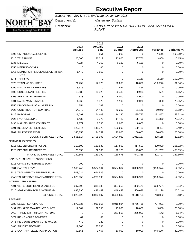

Budget Year: 2016; YTD End Date: December 2015

Department(s): Wastewater System

Division(s): SANITARY SEWER DISTRIBUTION, SANITARY SEWER PLANT

|                                                     | 2014<br><b>Actuals</b> | 2015<br><b>Actuals</b><br><b>YTD</b> | 2015<br><b>Budget</b> | 2016<br><b>Approved</b> | Variance    | Variance % |
|-----------------------------------------------------|------------------------|--------------------------------------|-----------------------|-------------------------|-------------|------------|
| 3007 ONTARIO 1 CALL CENTER                          | $\mathbf 0$            | 851                                  | 7,000                 | 0                       | (7,000)     | $-100.00%$ |
| 3010 TELEPHONE                                      | 25,060                 | 26,312                               | 23,900                | 27,760                  | 3,860       | 16.15 %    |
| 3035 MILEAGE                                        | 4,324                  | 4,150                                | 6,120                 | 6,120                   | 0           | 0.00%      |
| 3055 MEETING COSTS                                  | 0                      | 65                                   | 0                     | 0                       | 0           | 0.00%      |
| 3065 MEMBERSHIPS/LICENSES/CERTIFICA<br><b>TIONS</b> | 1,449                  | 1,852                                | 0                     | 0                       | 0           | 0.00%      |
| 3071 TRAINING                                       | $\mathbf 0$            | $\mathbf 0$                          | $\mathbf 0$           | 2,150                   | 2,150       | 100.00%    |
| 3075 TRAINING COURSES                               | 21,252                 | 12,725                               | 26,000                | 10,000                  | (16,000)    | $-61.54%$  |
| 3099 MISC ADMIN EXPENSES                            | 3,375                  | 0                                    | 1,464                 | 1,464                   | 0           | 0.00%      |
| 3102 CONSULTANT FEES I.S.                           | 13,586                 | 30,423                               | 30,433                | 30,934                  | 501         | 1.65 %     |
| 3205 VEHICLE LEASE/RENTAL                           | 533                    | 1,173                                | 4,000                 | 4,000                   | $\mathbf 0$ | 0.00%      |
| 3301 RADIO MAINTENANCE                              | 1,366                  | 1,870                                | 1,190                 | 2,070                   | 880         | 73.95 %    |
| 3350 DRY CLEANING/LAUNDERING                        | 354                    | 262                                  | 0                     | 0                       | 0           | 0.00%      |
| 3425 CONSTRUCTION CONTRACT                          | 54,349                 | 54,443                               | 70,200                | 81,140                  | 10,940      | 15.58 %    |
| 3426 PATCHING                                       | 111,091                | 174,403                              | 114,330               | 295,787                 | 181,457     | 158.71 %   |
| 3427 HYDROSEEDING                                   | 1,436                  | 2,775                                | 14,420                | 25,799                  | 11,379      | 78.91 %    |
| 3430 MAINTENANCE CONTRACT                           | 9,871                  | 8,395                                | 8,000                 | 8,000                   | $\mathbf 0$ | 0.00%      |
| 3601 INSURANCE PREMIUMS                             | 122,844                | 148,273                              | 130,992               | 139,489                 | 8,497       | 6.49%      |
| 3969 SLUDGE DISPOSAL                                | 140,858                | 94,059                               | 120,000               | 150,000                 | 30,000      | 25.00%     |
| <b>GOODS &amp; SERVICES TOTAL</b>                   | 1,551,514              | 1,498,998                            | 1,624,069             | 1,962,187               | 338,118     | 20.82 %    |
| <b>FINANCIAL EXPENSES</b>                           |                        |                                      |                       |                         |             |            |
| 4015 DEBENTURE PRINCIPAL                            | 117,500                | 150,833                              | 117,500               | 417,500                 | 300,000     | 255.32 %   |
| 4020 DEBENTURE INTEREST                             | 25,358                 | 32,566                               | 22,178                | 123,885                 | 101,707     | 458.59%    |
| <b>FINANCIAL EXPENSES TOTAL</b>                     | 142,858                | 183,399                              | 139,678               | 541,385                 | 401,707     | 287.60%    |
| CAPITAL/RESERVE TRANSACTIONS                        |                        |                                      |                       |                         |             |            |
| 5015 OFFICE FURNITURE & EQUIP                       | 290                    | 0                                    | 0                     | 0                       | 0           | 0.00%      |
| 5101 CAPITAL LEVY                                   | 3,566,742              | 3,534,864                            | 3,534,864             | 3,380,990               | (153, 874)  | $-4.35%$   |
| 5115 TRANSFER TO RESERVE FUND                       | 508,024                | 674,529                              | 0                     | 0                       | 0           | 0.00%      |
| CAPITAL/RESERVE TRANSACTIONS TOTAL                  | 4,075,056              | 4,209,393                            | 3,534,864             | 3,380,990               | (153, 874)  | $-4.35%$   |
| <b>INTERNAL TRANSFERS</b>                           |                        |                                      |                       |                         |             |            |
| 7001 VEH & EQUIPMENT USAGE FEE                      | 307,698                | 318,435                              | 357,250               | 332,473                 | (24, 777)   | -6.94 %    |
| 7010 ADMINISTRATON & OVERHEAD                       | 638,396                | 448,442                              | 448,442               | 560,638                 | 112,196     | 25.02 %    |
| <b>EXPENSE TOTAL</b>                                | 8,029,623              | 8,082,507                            | 8,405,692             | 9,118,754               | 713,062     | 8.48%      |
| <b>REVENUE</b>                                      |                        |                                      |                       |                         |             |            |
| 0180 SEWER SURCHARGE                                | 7,877,936              | 7,910,655                            | 8,018,834             | 8,756,755               | 737,921     | 9.20%      |
| 0431 PENALTIES/WATER ACCOUNTS                       | 12,584                 | 22,596                               | 15,000                | 18,000                  | 3,000       | 20.00%     |
| 0460 TRANSFER FRM CAPITAL FUND                      | 0                      | 0                                    | 251,858               | 256,000                 | 4,142       | 1.64 %     |
| 0472 REIMB - CUPE BENEFITS                          | 67                     | 63                                   | 0                     | 0                       | 0           | 0.00%      |
| 0476 REIMBURSEMENT-CUPE WAGES                       | 449                    | 229                                  | 0                     | 0                       | 0           | 0.00%      |
| 0480 SUNDRY REVENUE                                 | 17,305                 | 20,698                               | 0                     | 0                       | 0           | 0.00%      |
| 0873 SANITARY SEWER CONNECTION                      | 53,556                 | 9,457                                | 50,000                | 10,000                  | (40,000)    | -80.00%    |